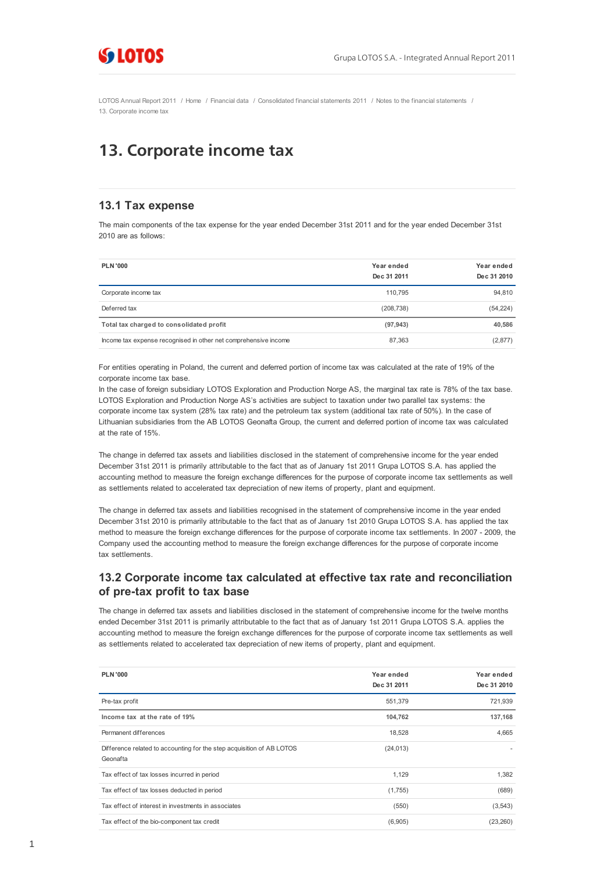

[LOTOS Annual Report 2011](http://raportroczny.lotos.pl/) / [Home](http://raportroczny.lotos.pl/en/) / [Financial data](http://raportroczny.lotos.pl/en/financial-data/) / [Consolidated financial statements 2011](http://raportroczny.lotos.pl/en/financial-data/consolidated-financial-statements-2011/) / [Notes to the financial statements](http://raportroczny.lotos.pl/en/financial-data/consolidated-financial-statements-2011/notes-to-the-financial-statements/) / 13. Corporate income tax

# 13. Corporate income tax

#### **13.1 Tax expense**

The main components of the tax expense for the year ended December 31st 2011 and for the year ended December 31st 2010 are as follows:

| <b>PLN '000</b>                                                 | Year ended<br>Dec 31 2011 | Year ended<br>Dec 31 2010 |
|-----------------------------------------------------------------|---------------------------|---------------------------|
| Corporate income tax                                            | 110.795                   | 94.810                    |
| Deferred tax                                                    | (208, 738)                | (54, 224)                 |
| Total tax charged to consolidated profit                        | (97, 943)                 | 40.586                    |
| Income tax expense recognised in other net comprehensive income | 87,363                    | (2,877)                   |

For entities operating in Poland, the current and deferred portion of income tax was calculated at the rate of 19% of the corporate income tax base.

In the case of foreign subsidiary LOTOS Exploration and Production Norge AS, the marginal tax rate is 78% of the tax base. LOTOS Exploration and Production Norge AS's activities are subject to taxation under two parallel tax systems: the corporate income tax system (28% tax rate) and the petroleum tax system (additional tax rate of 50%). In the case of Lithuanian subsidiaries from the AB LOTOS Geonafta Group, the current and deferred portion of income tax was calculated at the rate of 15%.

The change in deferred tax assets and liabilities disclosed in the statement of comprehensive income for the year ended December 31st 2011 is primarily attributable to the fact that as of January 1st 2011 Grupa LOTOS S.A. has applied the accounting method to measure the foreign exchange differences for the purpose of corporate income tax settlements as well as settlements related to accelerated tax depreciation of new items of property, plant and equipment.

The change in deferred tax assets and liabilities recognised in the statement of comprehensive income in the year ended December 31st 2010 is primarily attributable to the fact that as of January 1st 2010 Grupa LOTOS S.A. has applied the tax method to measure the foreign exchange differences for the purpose of corporate income tax settlements. In 2007 - 2009, the Company used the accounting method to measure the foreign exchange differences for the purpose of corporate income tax settlements.

### **13.2 Corporate income tax calculated at effective tax rate and reconciliation of pre-tax profit to tax base**

The change in deferred tax assets and liabilities disclosed in the statement of comprehensive income for the twelve months ended December 31st 2011 is primarily attributable to the fact that as of January 1st 2011 Grupa LOTOS S.A. applies the accounting method to measure the foreign exchange differences for the purpose of corporate income tax settlements as well as settlements related to accelerated tax depreciation of new items of property, plant and equipment.

| <b>PLN '000</b>                                                                   | Year ended<br>Dec 31 2011 | Year ended<br>Dec 31 2010 |
|-----------------------------------------------------------------------------------|---------------------------|---------------------------|
| Pre-tax profit                                                                    | 551,379                   | 721,939                   |
| Income tax at the rate of 19%                                                     | 104,762                   | 137,168                   |
| Permanent differences                                                             | 18,528                    | 4.665                     |
| Difference related to accounting for the step acquisition of AB LOTOS<br>Geonafta | (24, 013)                 |                           |
| Tax effect of tax losses incurred in period                                       | 1,129                     | 1,382                     |
| Tax effect of tax losses deducted in period                                       | (1,755)                   | (689)                     |
| Tax effect of interest in investments in associates                               | (550)                     | (3, 543)                  |
| Tax effect of the bio-component tax credit                                        | (6,905)                   | (23, 260)                 |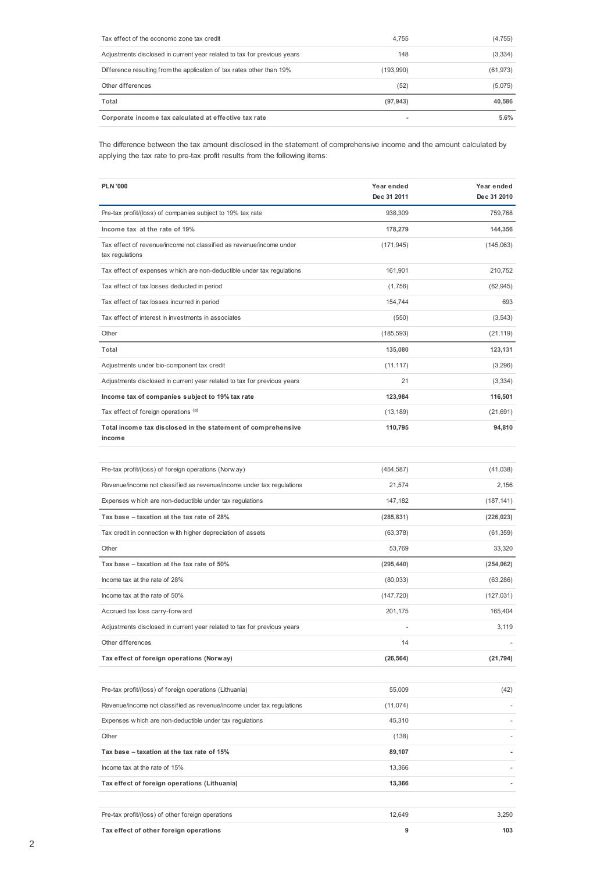| Tax effect of the economic zone tax credit                              | 4.755     | (4, 755)  |
|-------------------------------------------------------------------------|-----------|-----------|
| Adjustments disclosed in current year related to tax for previous years | 148       | (3, 334)  |
| Difference resulting from the application of tax rates other than 19%   | (193,990) | (61, 973) |
| Other differences                                                       | (52)      | (5,075)   |
| Total                                                                   | (97, 943) | 40,586    |
| Corporate income tax calculated at effective tax rate                   | ۰         | 5.6%      |

The difference between the tax amount disclosed in the statement of comprehensive income and the amount calculated by applying the tax rate to pre-tax profit results from the following items:

| <b>PLN '000</b>                                                                        | Year ended<br>Dec 31 2011 | Year ended<br>Dec 31 2010 |
|----------------------------------------------------------------------------------------|---------------------------|---------------------------|
| Pre-tax profit/(loss) of companies subject to 19% tax rate                             | 938,309                   | 759,768                   |
| Income tax at the rate of 19%                                                          | 178,279                   | 144,356                   |
| Tax effect of revenue/income not classified as revenue/income under<br>tax regulations | (171, 945)                | (145,063)                 |
| Tax effect of expenses w hich are non-deductible under tax regulations                 | 161,901                   | 210,752                   |
| Tax effect of tax losses deducted in period                                            | (1,756)                   | (62, 945)                 |
| Tax effect of tax losses incurred in period                                            | 154,744                   | 693                       |
| Tax effect of interest in investments in associates                                    | (550)                     | (3, 543)                  |
| Other                                                                                  | (185, 593)                | (21, 119)                 |
| Total                                                                                  | 135,080                   | 123,131                   |
| Adjustments under bio-component tax credit                                             | (11, 117)                 | (3,296)                   |
| Adjustments disclosed in current year related to tax for previous years                | 21                        | (3,334)                   |
| Income tax of companies subject to 19% tax rate                                        | 123,984                   | 116,501                   |
| Tax effect of foreign operations (a)                                                   | (13, 189)                 | (21, 691)                 |
| Total income tax disclosed in the statement of comprehensive<br>income                 | 110,795                   | 94,810                    |
|                                                                                        |                           |                           |
| Pre-tax profit/(loss) of foreign operations (Norw ay)                                  | (454, 587)                | (41, 038)                 |
| Revenue/income not classified as revenue/income under tax regulations                  | 21,574                    | 2,156                     |
| Expenses w hich are non-deductible under tax regulations                               | 147,182                   | (187, 141)                |
| Tax base - taxation at the tax rate of 28%                                             | (285, 831)                | (226, 023)                |
| Tax credit in connection w ith higher depreciation of assets                           | (63, 378)                 | (61, 359)                 |
| Other                                                                                  | 53,769                    | 33,320                    |
| Tax base - taxation at the tax rate of 50%                                             | (295, 440)                | (254, 062)                |
| Income tax at the rate of 28%                                                          | (80,033)                  | (63, 286)                 |
| Income tax at the rate of 50%                                                          | (147, 720)                | (127, 031)                |
| Accrued tax loss carry-forw ard                                                        | 201,175                   | 165,404                   |
| Adjustments disclosed in current year related to tax for previous years                |                           | 3,119                     |
| Other differences                                                                      | 14                        |                           |
| Tax effect of foreign operations (Norway)                                              | (26, 564)                 | (21, 794)                 |
|                                                                                        |                           |                           |
| Pre-tax profit/(loss) of foreign operations (Lithuania)                                | 55,009                    | (42)                      |
| Revenue/income not classified as revenue/income under tax regulations                  | (11, 074)                 |                           |
| Expenses w hich are non-deductible under tax regulations                               | 45,310                    |                           |
| Other                                                                                  | (138)                     |                           |
| Tax base - taxation at the tax rate of 15%                                             | 89,107                    |                           |
| Income tax at the rate of 15%                                                          | 13,366                    |                           |
| Tax effect of foreign operations (Lithuania)                                           | 13,366                    |                           |
|                                                                                        |                           |                           |
| Pre-tax profit/(loss) of other foreign operations                                      | 12,649                    | 3,250                     |
| Tax effect of other foreign operations                                                 | 9                         | 103                       |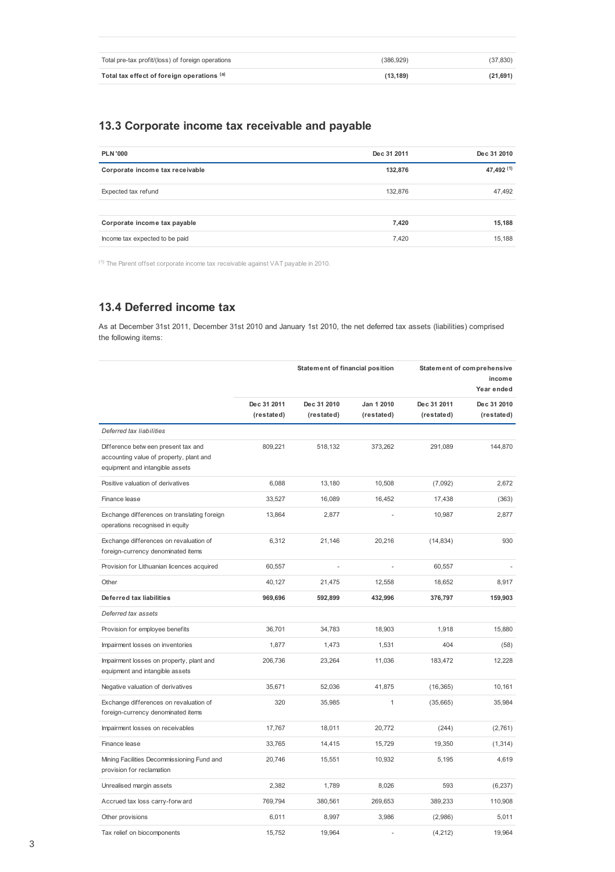| Total pre-tax profit/(loss) of foreign operations | (386.929) | (37, 830) |
|---------------------------------------------------|-----------|-----------|
| Total tax effect of foreign operations (a)        | (13.189)  | (21, 691) |

## **13.3 Corporate income tax receivable and payable**

| <b>PLN '000</b>                 | Dec 31 2011 | Dec 31 2010 |
|---------------------------------|-------------|-------------|
| Corporate income tax receivable | 132,876     | 47,492 (1)  |
| Expected tax refund             | 132,876     | 47,492      |
|                                 |             |             |
| Corporate income tax payable    | 7,420       | 15,188      |
| Income tax expected to be paid  | 7.420       | 15,188      |

 $(1)$  The Parent offset corporate income tax receivable against VAT payable in 2010.

## **13.4 Deferred income tax**

As at December 31st 2011, December 31st 2010 and January 1st 2010, the net deferred tax assets (liabilities) comprised the following items:

|                                                                                                                   | Statement of financial position |                           | Statement of comprehensive<br>income<br>Year ended |                           |                           |
|-------------------------------------------------------------------------------------------------------------------|---------------------------------|---------------------------|----------------------------------------------------|---------------------------|---------------------------|
|                                                                                                                   | Dec 31 2011<br>(restated)       | Dec 31 2010<br>(restated) | Jan 1 2010<br>(restated)                           | Dec 31 2011<br>(restated) | Dec 31 2010<br>(restated) |
| Deferred tax liabilities                                                                                          |                                 |                           |                                                    |                           |                           |
| Difference betw een present tax and<br>accounting value of property, plant and<br>equipment and intangible assets | 809,221                         | 518,132                   | 373,262                                            | 291.089                   | 144,870                   |
| Positive valuation of derivatives                                                                                 | 6.088                           | 13.180                    | 10,508                                             | (7,092)                   | 2.672                     |
| Finance lease                                                                                                     | 33,527                          | 16,089                    | 16,452                                             | 17,438                    | (363)                     |
| Exchange differences on translating foreign<br>operations recognised in equity                                    | 13,864                          | 2,877                     |                                                    | 10,987                    | 2,877                     |
| Exchange differences on revaluation of<br>foreign-currency denominated items                                      | 6,312                           | 21,146                    | 20,216                                             | (14, 834)                 | 930                       |
| Provision for Lithuanian licences acquired                                                                        | 60,557                          | ä,                        | ä,                                                 | 60,557                    |                           |
| Other                                                                                                             | 40,127                          | 21,475                    | 12,558                                             | 18,652                    | 8,917                     |
| Deferred tax liabilities                                                                                          | 969,696                         | 592,899                   | 432,996                                            | 376,797                   | 159,903                   |
| Deferred tax assets                                                                                               |                                 |                           |                                                    |                           |                           |
| Provision for employee benefits                                                                                   | 36,701                          | 34,783                    | 18,903                                             | 1,918                     | 15,880                    |
| Impairment losses on inventories                                                                                  | 1,877                           | 1,473                     | 1,531                                              | 404                       | (58)                      |
| Impairment losses on property, plant and<br>equipment and intangible assets                                       | 206,736                         | 23,264                    | 11,036                                             | 183,472                   | 12,228                    |
| Negative valuation of derivatives                                                                                 | 35,671                          | 52,036                    | 41,875                                             | (16, 365)                 | 10,161                    |
| Exchange differences on revaluation of<br>foreign-currency denominated items                                      | 320                             | 35,985                    | 1                                                  | (35,665)                  | 35,984                    |
| Impairment losses on receivables                                                                                  | 17,767                          | 18,011                    | 20,772                                             | (244)                     | (2,761)                   |
| Finance lease                                                                                                     | 33,765                          | 14,415                    | 15,729                                             | 19,350                    | (1, 314)                  |
| Mining Facilities Decommissioning Fund and<br>provision for reclamation                                           | 20.746                          | 15,551                    | 10,932                                             | 5.195                     | 4,619                     |
| Unrealised margin assets                                                                                          | 2,382                           | 1,789                     | 8,026                                              | 593                       | (6, 237)                  |
| Accrued tax loss carry-forw ard                                                                                   | 769,794                         | 380,561                   | 269,653                                            | 389,233                   | 110,908                   |
| Other provisions                                                                                                  | 6,011                           | 8,997                     | 3,986                                              | (2,986)                   | 5,011                     |
| Tax relief on biocomponents                                                                                       | 15,752                          | 19,964                    |                                                    | (4,212)                   | 19.964                    |